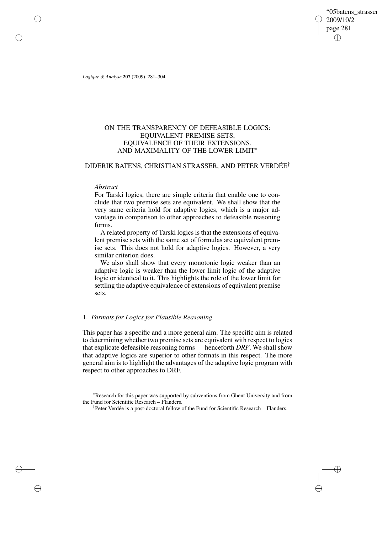"05batens\_strasser 2009/10/2 page 281 ✐ ✐

✐

✐

*Logique & Analyse* **207** (2009), 281–304

✐

✐

✐

✐

# ON THE TRANSPARENCY OF DEFEASIBLE LOGICS: EQUIVALENT PREMISE SETS, EQUIVALENCE OF THEIR EXTENSIONS, AND MAXIMALITY OF THE LOWER LIMIT<sup>∗</sup>

# DIDERIK BATENS, CHRISTIAN STRASSER, AND PETER VERDÉE†

### *Abstract*

For Tarski logics, there are simple criteria that enable one to conclude that two premise sets are equivalent. We shall show that the very same criteria hold for adaptive logics, which is a major advantage in comparison to other approaches to defeasible reasoning forms.

A related property of Tarski logics is that the extensions of equivalent premise sets with the same set of formulas are equivalent premise sets. This does not hold for adaptive logics. However, a very similar criterion does.

We also shall show that every monotonic logic weaker than an adaptive logic is weaker than the lower limit logic of the adaptive logic or identical to it. This highlights the role of the lower limit for settling the adaptive equivalence of extensions of equivalent premise sets.

# 1. *Formats for Logics for Plausible Reasoning*

This paper has a specific and a more general aim. The specific aim is related to determining whether two premise sets are equivalent with respect to logics that explicate defeasible reasoning forms — henceforth *DRF*. We shall show that adaptive logics are superior to other formats in this respect. The more general aim is to highlight the advantages of the adaptive logic program with respect to other approaches to DRF.

<sup>∗</sup>Research for this paper was supported by subventions from Ghent University and from the Fund for Scientific Research – Flanders.

† Peter Verdée is a post-doctoral fellow of the Fund for Scientific Research – Flanders.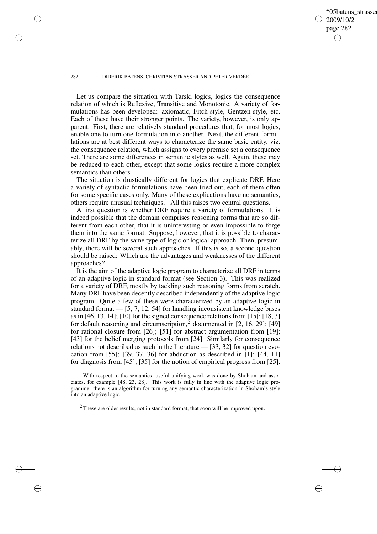'05batens\_strasser 2009/10/2 page 282 ✐ ✐

✐

✐

#### 282 DIDERIK BATENS, CHRISTIAN STRASSER AND PETER VERDÉE

✐

✐

✐

✐

Let us compare the situation with Tarski logics, logics the consequence relation of which is Reflexive, Transitive and Monotonic. A variety of formulations has been developed: axiomatic, Fitch-style, Gentzen-style, etc. Each of these have their stronger points. The variety, however, is only apparent. First, there are relatively standard procedures that, for most logics, enable one to turn one formulation into another. Next, the different formulations are at best different ways to characterize the same basic entity, viz. the consequence relation, which assigns to every premise set a consequence set. There are some differences in semantic styles as well. Again, these may be reduced to each other, except that some logics require a more complex semantics than others.

The situation is drastically different for logics that explicate DRF. Here a variety of syntactic formulations have been tried out, each of them often for some specific cases only. Many of these explications have no semantics, others require unusual techniques.<sup>1</sup> All this raises two central questions.

A first question is whether DRF require a variety of formulations. It is indeed possible that the domain comprises reasoning forms that are so different from each other, that it is uninteresting or even impossible to forge them into the same format. Suppose, however, that it is possible to characterize all DRF by the same type of logic or logical approach. Then, presumably, there will be several such approaches. If this is so, a second question should be raised: Which are the advantages and weaknesses of the different approaches?

It is the aim of the adaptive logic program to characterize all DRF in terms of an adaptive logic in standard format (see Section 3). This was realized for a variety of DRF, mostly by tackling such reasoning forms from scratch. Many DRF have been decently described independently of the adaptive logic program. Quite a few of these were characterized by an adaptive logic in standard format — [5, 7, 12, 54] for handling inconsistent knowledge bases as in [46, 13, 14]; [10] for the signed consequence relations from [15]; [18, 3] for default reasoning and circumscription,<sup>2</sup> documented in  $[2, 16, 29]$ ;  $[49]$ for rational closure from [26]; [51] for abstract argumentation from [19]; [43] for the belief merging protocols from [24]. Similarly for consequence relations not described as such in the literature — [33, 32] for question evocation from [55]; [39, 37, 36] for abduction as described in [1]; [44, 11] for diagnosis from [45]; [35] for the notion of empirical progress from [25].

<sup>1</sup> With respect to the semantics, useful unifying work was done by Shoham and associates, for example [48, 23, 28]. This work is fully in line with the adaptive logic programme: there is an algorithm for turning any semantic characterization in Shoham's style into an adaptive logic.

 $2$  These are older results, not in standard format, that soon will be improved upon.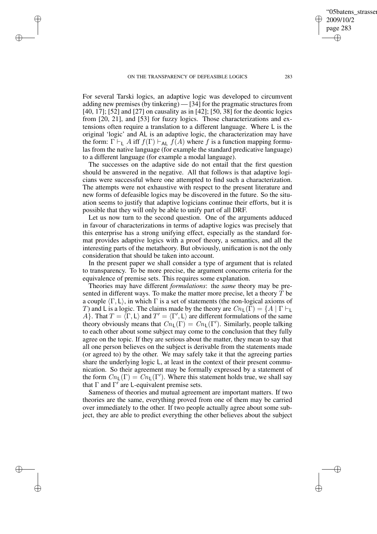✐

✐

✐

✐

✐

'05batens\_strasser

2009/10/2 page 283

✐

✐

For several Tarski logics, an adaptive logic was developed to circumvent adding new premises (by tinkering) — [34] for the pragmatic structures from [40, 17]; [52] and [27] on causality as in [42]; [50, 38] for the deontic logics from [20, 21], and [53] for fuzzy logics. Those characterizations and extensions often require a translation to a different language. Where L is the original 'logic' and AL is an adaptive logic, the characterization may have the form:  $\Gamma \vdash_L A$  iff  $f(\Gamma) \vdash_{AL} f(A)$  where f is a function mapping formulas from the native language (for example the standard predicative language) to a different language (for example a modal language).

The successes on the adaptive side do not entail that the first question should be answered in the negative. All that follows is that adaptive logicians were successful where one attempted to find such a characterization. The attempts were not exhaustive with respect to the present literature and new forms of defeasible logics may be discovered in the future. So the situation seems to justify that adaptive logicians continue their efforts, but it is possible that they will only be able to unify part of all DRF.

Let us now turn to the second question. One of the arguments adduced in favour of characterizations in terms of adaptive logics was precisely that this enterprise has a strong unifying effect, especially as the standard format provides adaptive logics with a proof theory, a semantics, and all the interesting parts of the metatheory. But obviously, unification is not the only consideration that should be taken into account.

In the present paper we shall consider a type of argument that is related to transparency. To be more precise, the argument concerns criteria for the equivalence of premise sets. This requires some explanation.

Theories may have different *formulations*: the *same* theory may be presented in different ways. To make the matter more precise, let a theory  $T$  be a couple  $\langle \Gamma, L \rangle$ , in which  $\Gamma$  is a set of statements (the non-logical axioms of T) and L is a logic. The claims made by the theory are  $Cn_L(\Gamma) = \{A \mid \Gamma \vdash_L$ A}. That  $T = \langle \Gamma, L \rangle$  and  $T' = \langle \Gamma', L \rangle$  are different formulations of the same theory obviously means that  $Cn_{\mathsf{L}}(\Gamma) = Cn_{\mathsf{L}}(\Gamma')$ . Similarly, people talking to each other about some subject may come to the conclusion that they fully agree on the topic. If they are serious about the matter, they mean to say that all one person believes on the subject is derivable from the statements made (or agreed to) by the other. We may safely take it that the agreeing parties share the underlying logic L, at least in the context of their present communication. So their agreement may be formally expressed by a statement of the form  $Cn_{\mathsf{L}}(\Gamma) = Cn_{\mathsf{L}}(\Gamma')$ . Where this statement holds true, we shall say that  $\Gamma$  and  $\Gamma'$  are L-equivalent premise sets.

Sameness of theories and mutual agreement are important matters. If two theories are the same, everything proved from one of them may be carried over immediately to the other. If two people actually agree about some subject, they are able to predict everything the other believes about the subject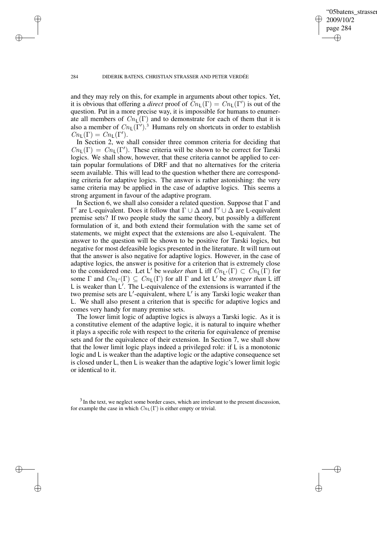✐

#### 284 DIDERIK BATENS, CHRISTIAN STRASSER AND PETER VERDÉE

✐

✐

✐

✐

and they may rely on this, for example in arguments about other topics. Yet, it is obvious that offering a *direct* proof of  $\widetilde{C}n_{\mathsf{L}}(\Gamma) = Cn_{\mathsf{L}}(\Gamma')$  is out of the question. Put in a more precise way, it is impossible for humans to enumerate all members of  $Cn_{\mathsf{L}}(\Gamma)$  and to demonstrate for each of them that it is also a member of  $Cn_{\mathsf{L}}(\Gamma')$ .<sup>3</sup> Humans rely on shortcuts in order to establish  $Cn_{\mathsf{L}}(\Gamma) = Cn_{\mathsf{L}}(\Gamma').$ 

In Section 2, we shall consider three common criteria for deciding that  $Cn_{\mathsf{L}}(\Gamma) = Cn_{\mathsf{L}}(\Gamma')$ . These criteria will be shown to be correct for Tarski logics. We shall show, however, that these criteria cannot be applied to certain popular formulations of DRF and that no alternatives for the criteria seem available. This will lead to the question whether there are corresponding criteria for adaptive logics. The answer is rather astonishing: the very same criteria may be applied in the case of adaptive logics. This seems a strong argument in favour of the adaptive program.

In Section 6, we shall also consider a related question. Suppose that  $\Gamma$  and  $Γ'$  are L-equivalent. Does it follow that  $Γ ∪ ∆$  and  $Γ' ∪ ∆$  are L-equivalent premise sets? If two people study the same theory, but possibly a different formulation of it, and both extend their formulation with the same set of statements, we might expect that the extensions are also L-equivalent. The answer to the question will be shown to be positive for Tarski logics, but negative for most defeasible logics presented in the literature. It will turn out that the answer is also negative for adaptive logics. However, in the case of adaptive logics, the answer is positive for a criterion that is extremely close to the considered one. Let L' be *weaker than* L iff  $Cn_{L}(\Gamma) \subset Cn_{L}(\Gamma)$  for some  $\Gamma$  and  $Cn_{L}(\Gamma) \subseteq Cn_{L}(\Gamma)$  for all  $\Gamma$  and let L' be *stronger than* L iff L is weaker than  $L'$ . The L-equivalence of the extensions is warranted if the two premise sets are L'-equivalent, where L' is any Tarski logic weaker than L. We shall also present a criterion that is specific for adaptive logics and comes very handy for many premise sets.

The lower limit logic of adaptive logics is always a Tarski logic. As it is a constitutive element of the adaptive logic, it is natural to inquire whether it plays a specific role with respect to the criteria for equivalence of premise sets and for the equivalence of their extension. In Section 7, we shall show that the lower limit logic plays indeed a privileged role: if L is a monotonic logic and L is weaker than the adaptive logic or the adaptive consequence set is closed under L, then L is weaker than the adaptive logic's lower limit logic or identical to it.

 $3$  In the text, we neglect some border cases, which are irrelevant to the present discussion, for example the case in which  $Cn_{\text{L}}(\Gamma)$  is either empty or trivial.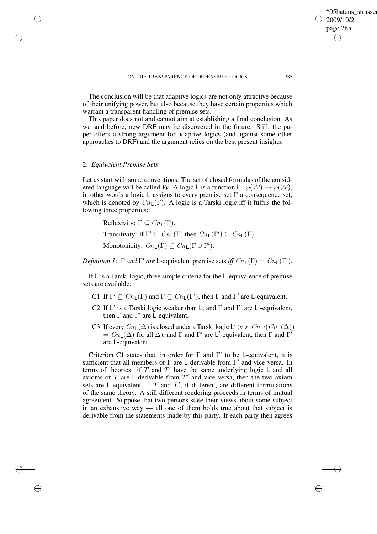The conclusion will be that adaptive logics are not only attractive because of their unifying power, but also because they have certain properties which warrant a transparent handling of premise sets.

This paper does not and cannot aim at establishing a final conclusion. As we said before, new DRF may be discovered in the future. Still, the paper offers a strong argument for adaptive logics (and against some other approaches to DRF) and the argument relies on the best present insights.

# 2. *Equivalent Premise Sets*

✐

✐

✐

✐

Let us start with some conventions. The set of closed formulas of the considered language will be called W. A logic L is a function L:  $\wp(\mathcal{W}) \to \wp(\mathcal{W})$ , in other words a logic L assigns to every premise set  $\Gamma$  a consequence set, which is denoted by  $Cn_{\mathsf{L}}(\Gamma)$ . A logic is a Tarski logic iff it fulfils the following three properties:

Reflexivity:  $\Gamma \subset Cn_1(\Gamma)$ . Transitivity: If  $\Gamma' \subseteq Cn_{\mathsf{L}}(\Gamma)$  then  $Cn_{\mathsf{L}}(\Gamma') \subseteq Cn_{\mathsf{L}}(\Gamma)$ . Monotonicity:  $Cn_{\mathsf{L}}(\Gamma) \subseteq Cn_{\mathsf{L}}(\Gamma \cup \Gamma').$ 

*Definition 1*:  $\Gamma$  *and*  $\Gamma'$  *are* L-equivalent premise sets *iff*  $Cn_{\mathsf{L}}(\Gamma) = Cn_{\mathsf{L}}(\Gamma').$ 

If L is a Tarski logic, three simple criteria for the L-equivalence of premise sets are available:

- C1 If  $\Gamma' \subseteq Cn_{\mathsf{L}}(\Gamma)$  and  $\Gamma \subseteq Cn_{\mathsf{L}}(\Gamma')$ , then  $\Gamma$  and  $\Gamma'$  are L-equivalent.
- C2 If  $L'$  is a Tarski logic weaker than L, and  $\Gamma$  and  $\Gamma'$  are  $L'$ -equivalent, then  $\Gamma$  and  $\Gamma'$  are L-equivalent.
- C3 If every  $\mathit{Cn}_{\mathsf{L}}(\Delta)$  is closed under a Tarski logic L' (viz.  $\mathit{Cn}_{\mathsf{L}'}(\mathit{Cn}_{\mathsf{L}}(\Delta))$  $= Cn_L(\Delta)$  for all  $\Delta$ ), and  $\Gamma$  and  $\Gamma'$  are L'-equivalent, then  $\Gamma$  and  $\Gamma'$ are L-equivalent.

Criterion C1 states that, in order for  $\Gamma$  and  $\Gamma'$  to be L-equivalent, it is sufficient that all members of  $\Gamma$  are L-derivable from  $\Gamma'$  and vice versa. In terms of theories: if  $T$  and  $T'$  have the same underlying logic L and all axioms of  $T$  are L-derivable from  $T'$  and vice versa, then the two axiom sets are L-equivalent  $-T$  and  $T'$ , if different, are different formulations of the same theory. A still different rendering proceeds in terms of mutual agreement. Suppose that two persons state their views about some subject in an exhaustive way — all one of them holds true about that subject is derivable from the statements made by this party. If each party then agrees

✐

"05batens\_strasser

2009/10/2 page 285

✐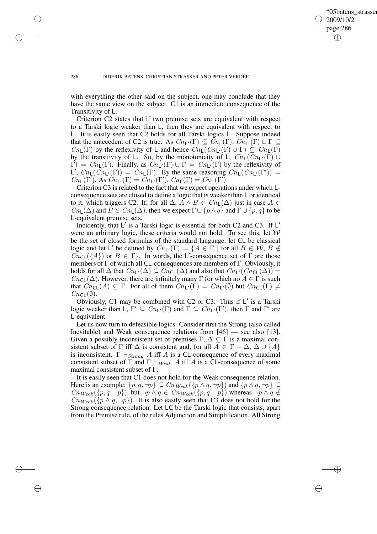✐

✐

✐

✐

✐

with everything the other said on the subject, one may conclude that they have the same view on the subject. C1 is an immediate consequence of the Transitivity of L.

Criterion C2 states that if two premise sets are equivalent with respect to a Tarski logic weaker than L, then they are equivalent with respect to L. It is easily seen that C2 holds for all Tarski logics L. Suppose indeed that the antecedent of C2 is true. As  $Cn_{L'}(\Gamma) \subseteq Cn_{L}(\Gamma), Cn_{L'}(\Gamma) \cup \Gamma \subseteq$  $Cn_{\mathsf{L}}(\Gamma)$  by the reflexivity of L and hence  $Cn_{\mathsf{L}}(Cn_{\mathsf{L}'}(\Gamma) \cup \Gamma) \subseteq Cn_{\mathsf{L}}(\Gamma)$ by the transitivity of L. So, by the monotonicity of L,  $Cn_L(Cn_{L'}(\Gamma))$  $\Gamma$ ) =  $Cn_1(\Gamma)$ . Finally, as  $Cn_1(\Gamma) \cup \Gamma = Cn_1(\Gamma)$  by the reflexivity of L',  $Cn_{\mathsf{L}}(\overline{C}n_{\mathsf{L}'}(\Gamma)) = Cn_{\mathsf{L}}(\Gamma)$ . By the same reasoning  $Cn_{\mathsf{L}}(Cn_{\mathsf{L}'}(\Gamma')) =$  $Cn_{\mathsf{L}}(\Gamma')$ . As  $\overline{Cn_{\mathsf{L}'(\Gamma)}} = \overline{Cn_{\mathsf{L}'(\Gamma')}}$ ,  $Cn_{\mathsf{L}}(\Gamma) = Cn_{\mathsf{L}}(\Gamma')$ .

Criterion C3 is related to the fact that we expect operations under which Lconsequence sets are closed to define a logic that is weaker than L or identical to it, which triggers C2. If, for all  $\Delta$ ,  $A \wedge B \in Cn_{\mathsf{L}}(\Delta)$  just in case  $A \in$  $Cn_{\mathsf{L}}(\Delta)$  and  $B \in Cn_{\mathsf{L}}(\Delta)$ , then we expect  $\Gamma \cup \{p \land q\}$  and  $\Gamma \cup \{p, q\}$  to be L-equivalent premise sets.

Incidently, that  $L'$  is a Tarski logic is essential for both C2 and C3. If  $L'$ were an arbitrary logic, these criteria would not hold. To see this, let  $W$ be the set of closed formulas of the standard language, let CL be classical logic and let L' be defined by  $Cn_{L}(\Gamma) = \{A \in \Gamma \mid \text{for all } B \in \mathcal{W}, B \notin \Gamma\}$  $\overline{Cn}_{\mathsf{CL}}(\{A\})$  or  $B \in \Gamma$ . In words, the L'-consequence set of  $\Gamma$  are those members of Γ of which all CL-consequences are members of Γ. Obviously, it holds for all  $\Delta$  that  $Cn_{\mathsf{L}'}(\Delta) \subseteq Cn_{\mathsf{CL}}(\Delta)$  and also that  $Cn_{\mathsf{L}'}(Cn_{\mathsf{CL}}(\Delta)) =$  $Cn_{\text{CL}}(\Delta)$ . However, there are infinitely many Γ for which no  $A \in \Gamma$  is such that  $Cn_{\text{CL}}(A) \subseteq \Gamma$ . For all of them  $Cn_{\text{L}'}(\Gamma) = Cn_{\text{L}'}(\emptyset)$  but  $Cn_{\text{CL}}(\Gamma) \neq$  $Cn_{\text{CL}}(\emptyset)$ .

Obviously, C1 may be combined with C2 or C3. Thus if  $L'$  is a Tarski logic weaker than L,  $\Gamma' \subseteq Cn_{L'}(\Gamma)$  and  $\Gamma \subseteq Cn_{L'}(\Gamma')$ , then  $\Gamma$  and  $\Gamma'$  are L-equivalent.

Let us now turn to defeasible logics. Consider first the Strong (also called Inevitable) and Weak consequence relations from [46] — see also [13]. Given a possibly inconsistent set of premises  $\Gamma$ ,  $\Delta \subseteq \Gamma$  is a maximal consistent subset of  $\Gamma$  iff  $\Delta$  is consistent and, for all  $A \in \Gamma - \Delta$ ,  $\Delta \cup \{A\}$ is inconsistent.  $\Gamma \vdash_{Strong} A$  iff A is a CL-consequence of every maximal consistent subset of  $\Gamma$  and  $\Gamma \vdash_{Weak} A$  iff A is a CL-consequence of some maximal consistent subset of Γ.

It is easily seen that C1 does not hold for the Weak consequence relation. Here is an example:  $\{p, q, \neg p\} \subseteq C_n_{Weak}(\{p \land q, \neg p\})$  and  $\{p \land q, \neg p\} \subseteq$  $C_n_{Weak}(\{p,q,\neg p\})$ , but  $\neg p \land q \in C_n_{Weak}(\{p,q,\neg p\})$  whereas  $\neg p \land q \notin$  $Cn_{Weak}(\lbrace p \wedge q, \neg p \rbrace)$ . It is also easily seen that C3 does not hold for the Strong consequence relation. Let LC be the Tarski logic that consists, apart from the Premise rule, of the rules Adjunction and Simplification. All Strong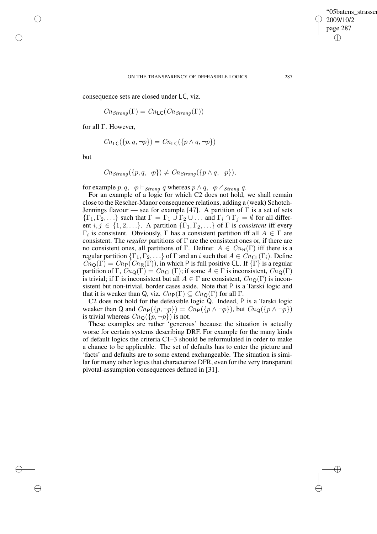✐

consequence sets are closed under LC, viz.

$$
Cn_{Strong}(\Gamma) = Cn_{\mathsf{LC}}(Cn_{Strong}(\Gamma))
$$

for all Γ. However,

$$
Cn_{\mathsf{LC}}(\{p,q,\neg p\}) = Cn_{\mathsf{LC}}(\{p \land q,\neg p\})
$$

but

✐

✐

✐

✐

$$
Cn_{Strong}(\lbrace p,q,\neg p \rbrace) \neq Cn_{Strong}(\lbrace p \wedge q, \neg p \rbrace),
$$

for example  $p, q, \neg p \vdash_{Strong} q$  whereas  $p \land q, \neg p \nvdash_{Strong} q$ .

For an example of a logic for which C2 does not hold, we shall remain close to the Rescher-Manor consequence relations, adding a (weak) Schotch-Jennings flavour — see for example [47]. A partition of  $\Gamma$  is a set of sets  ${\{\Gamma_1,\Gamma_2,\ldots\}}$  such that  $\Gamma = \Gamma_1 \cup \Gamma_2 \cup \ldots$  and  $\Gamma_i \cap \Gamma_j = \emptyset$  for all different  $i, j \in \{1, 2, \ldots\}$ . A partition  $\{\Gamma_1, \Gamma_2, \ldots\}$  of  $\Gamma$  is *consistent* iff every  $\Gamma_i$  is consistent. Obviously,  $\Gamma$  has a consistent partition iff all  $A \in \Gamma$  are consistent. The *regular* partitions of Γ are the consistent ones or, if there are no consistent ones, all partitions of Γ. Define:  $A \in C_n(\Gamma)$  iff there is a regular partition  $\{\Gamma_1, \Gamma_2, \ldots\}$  of  $\Gamma$  and an i such that  $A \in Cn_{\text{CL}}(\Gamma_i)$ . Define  $Cn_{\mathsf{Q}}(\Gamma) = Cn_{\mathsf{P}}(Cn_{\mathsf{R}}(\Gamma))$ , in which P is full positive CL. If  $\{\Gamma\}$  is a regular partition of Γ,  $Cn_{\mathbf{Q}}(\Gamma) = Cn_{\mathbf{CL}}(\Gamma)$ ; if some  $A \in \Gamma$  is inconsistent,  $Cn_{\mathbf{Q}}(\Gamma)$ is trivial; if  $\Gamma$  is inconsistent but all  $A \in \Gamma$  are consistent,  $Cn_{\mathbb{Q}}(\Gamma)$  is inconsistent but non-trivial, border cases aside. Note that P is a Tarski logic and that it is weaker than Q, viz.  $C_{n}P(\Gamma) \subseteq C_{n}Q(\Gamma)$  for all  $\Gamma$ .

C2 does not hold for the defeasible logic Q. Indeed, P is a Tarski logic weaker than Q and  $Cn_P({p, \neg p}) = Cn_P({p \wedge \neg p})$ , but  $Cn_Q({p \wedge \neg p})$ is trivial whereas  $Cn_{\mathbf{Q}}(\lbrace p, \neg p \rbrace)$  is not.

These examples are rather 'generous' because the situation is actually worse for certain systems describing DRF. For example for the many kinds of default logics the criteria C1–3 should be reformulated in order to make a chance to be applicable. The set of defaults has to enter the picture and 'facts' and defaults are to some extend exchangeable. The situation is similar for many other logics that characterize DFR, even for the very transparent pivotal-assumption consequences defined in [31].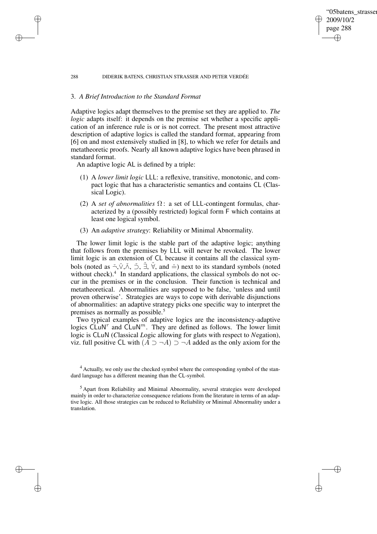### 288 DIDERIK BATENS, CHRISTIAN STRASSER AND PETER VERDÉE

## 3. *A Brief Introduction to the Standard Format*

✐

✐

✐

✐

Adaptive logics adapt themselves to the premise set they are applied to. *The logic* adapts itself: it depends on the premise set whether a specific application of an inference rule is or is not correct. The present most attractive description of adaptive logics is called the standard format, appearing from [6] on and most extensively studied in [8], to which we refer for details and metatheoretic proofs. Nearly all known adaptive logics have been phrased in standard format.

'05batens\_strasser

2009/10/2 page 288

✐

✐

✐

✐

An adaptive logic AL is defined by a triple:

- (1) A *lower limit logic* LLL: a reflexive, transitive, monotonic, and compact logic that has a characteristic semantics and contains CL (Classical Logic).
- (2) A *set of abnormalities* Ω : a set of LLL-contingent formulas, characterized by a (possibly restricted) logical form F which contains at least one logical symbol.
- (3) An *adaptive strategy*: Reliability or Minimal Abnormality.

The lower limit logic is the stable part of the adaptive logic; anything that follows from the premises by LLL will never be revoked. The lower limit logic is an extension of CL because it contains all the classical symbols (noted as  $\check{\neg}$ , $\check{\vee}$ , $\check{\wedge}$ ,  $\check{\neg}$ ,  $\check{\exists}$ ,  $\check{\forall}$ , and  $\check{=}$ ) next to its standard symbols (noted without check).<sup>4</sup> In standard applications, the classical symbols do not occur in the premises or in the conclusion. Their function is technical and metatheoretical. Abnormalities are supposed to be false, 'unless and until proven otherwise'. Strategies are ways to cope with derivable disjunctions of abnormalities: an adaptive strategy picks one specific way to interpret the premises as normally as possible.<sup>5</sup>

Two typical examples of adaptive logics are the inconsistency-adaptive logics  $\tilde{\text{CLuN}}^r$  and  $\tilde{\text{CLuN}}^m$ . They are defined as follows. The lower limit logic is CLuN (*C*lassical *L*ogic allowing for gl*u*ts with respect to *N*egation), viz. full positive CL with  $(A ⊃ ¬ A) ⊇ ¬ A$  added as the only axiom for the

<sup>&</sup>lt;sup>4</sup> Actually, we only use the checked symbol where the corresponding symbol of the standard language has a different meaning than the CL-symbol.

<sup>5</sup> Apart from Reliability and Minimal Abnormality, several strategies were developed mainly in order to characterize consequence relations from the literature in terms of an adaptive logic. All those strategies can be reduced to Reliability or Minimal Abnormality under a translation.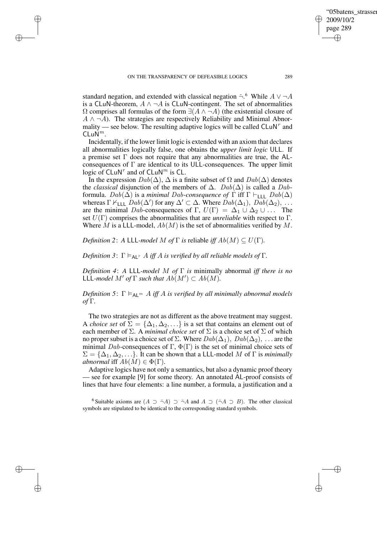✐

✐

✐

standard negation, and extended with classical negation  $\tilde{\neg}$ . While  $A \lor \neg A$ is a CLuN-theorem,  $A \wedge \neg A$  is CLuN-contingent. The set of abnormalities  $\Omega$  comprises all formulas of the form  $\exists(A \land \neg A)$  (the existential closure of  $A \wedge \neg A$ ). The strategies are respectively Reliability and Minimal Abnormality — see below. The resulting adaptive logics will be called  $CLuN<sup>r</sup>$  and  $CLu\dot{N}^m$ .

Incidentally, if the lower limit logic is extended with an axiom that declares all abnormalities logically false, one obtains the *upper limit logic* ULL. If a premise set Γ does not require that any abnormalities are true, the ALconsequences of Γ are identical to its ULL-consequences. The upper limit logic of  $CLuN^r$  and of  $CLuN^m$  is CL.

In the expression  $Dab(\Delta)$ ,  $\Delta$  is a finite subset of  $\Omega$  and  $Dab(\Delta)$  denotes the *classical* disjunction of the members of  $\Delta$ .  $Dab(\Delta)$  is called a Dabformula.  $Dab(\Delta)$  is a *minimal Dab-consequence of*  $\Gamma$  iff  $\Gamma \vdash_{\text{LLL}} Dab(\Delta)$ whereas  $\Gamma \nvdash_{\text{LLL}} \hat{D}ab(\Delta')$  for any  $\Delta' \subset \Delta$ . Where  $\hat{D}ab(\Delta_1), \hat{D}ab(\Delta_2), \ldots$ are the minimal Dab-consequences of Γ,  $U(\Gamma) = \Delta_1 \cup \Delta_2 \cup \dots$  The set  $U(\Gamma)$  comprises the abnormalities that are *unreliable* with respect to  $\Gamma$ . Where M is a LLL-model,  $Ab(M)$  is the set of abnormalities verified by M.

*Definition* 2: *A* LLL*-model M of*  $\Gamma$  *is* reliable *iff*  $Ab(M) \subseteq U(\Gamma)$ *.* 

*Definition* 3:  $\Gamma \models_{\text{Al}^T} A$  *iff* A *is verified by all reliable models of*  $\Gamma$ *.* 

*Definition 4*: *A* LLL*-model* M *of* Γ *is* minimally abnormal *iff there is no*  $LL$ *L-model*  $M'$  *of*  $\Gamma$  *such that*  $Ab(M') \subset Ab(M)$ *.* 

*Definition* 5:  $\Gamma \models_{\mathsf{AL}^m} A$  *iff* A *is verified by all minimally abnormal models of* Γ*.*

The two strategies are not as different as the above treatment may suggest. A *choice set* of  $\Sigma = {\Delta_1, \Delta_2, \ldots}$  is a set that contains an element out of each member of  $\Sigma$ . A *minimal choice set* of  $\Sigma$  is a choice set of  $\Sigma$  of which no proper subset is a choice set of  $\Sigma$ . Where  $Dab(\Delta_1)$ ,  $Dab(\Delta_2)$ , ... are the minimal Dab-consequences of Γ,  $\Phi(\Gamma)$  is the set of minimal choice sets of  $\Sigma = {\Delta_1, \Delta_2, \ldots}$ . It can be shown that a LLL-model M of  $\Gamma$  is *minimally abnormal* iff  $Ab(M) \in \Phi(\Gamma)$ .

Adaptive logics have not only a semantics, but also a dynamic proof theory — see for example [9] for some theory. An annotated AL-proof consists of lines that have four elements: a line number, a formula, a justification and a

<sup>6</sup> Suitable axioms are  $(A \supset \tilde{\neg}A) \supset \tilde{\neg}A$  and  $A \supset (\tilde{\neg}A \supset B)$ . The other classical symbols are stipulated to be identical to the corresponding standard symbols.

'05batens\_strasser

2009/10/2 page 289

✐

✐

✐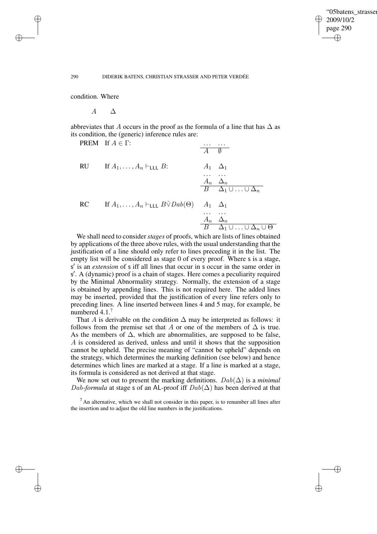✐

#### 290 DIDERIK BATENS, CHRISTIAN STRASSER AND PETER VERDÉE

condition. Where

✐

✐

✐

✐

 $\overline{A}$   $\overline{\Delta}$ 

abbreviates that A occurs in the proof as the formula of a line that has  $\Delta$  as its condition, the (generic) inference rules are:

|    | <b>PREM</b> If $A \in \Gamma$ :                                                               |                      | $A \quad \emptyset$                                         |
|----|-----------------------------------------------------------------------------------------------|----------------------|-------------------------------------------------------------|
| RU | If $A_1, \ldots, A_n \vdash_{\mathsf{LLL}} B$ :                                               | $A_1 \quad \Delta_1$ |                                                             |
|    |                                                                                               |                      | $\frac{A_n \Delta_n}{B \Delta_1 \cup \ldots \cup \Delta_n}$ |
| RC | If $A_1, \ldots, A_n \vdash_{\mathsf{LLL}} B \check{\vee} Da b(\Theta) \quad A_1 \; \Delta_1$ |                      | $A_n \Delta_n$                                              |
|    | We shall need to consider stages of nuaste, which are liste of lines obtain                   |                      | $B$ $\Delta_1 \cup \ldots \cup \Delta_n \cup \Theta$        |

We shall need to consider *stages* of proofs, which are lists of lines obtained by applications of the three above rules, with the usual understanding that the justification of a line should only refer to lines preceding it in the list. The empty list will be considered as stage 0 of every proof. Where s is a stage, s' is an *extension* of s iff all lines that occur in s occur in the same order in s 0 . A (dynamic) proof is a chain of stages. Here comes a peculiarity required by the Minimal Abnormality strategy. Normally, the extension of a stage is obtained by appending lines. This is not required here. The added lines may be inserted, provided that the justification of every line refers only to preceding lines. A line inserted between lines 4 and 5 may, for example, be numbered 4.1.<sup>7</sup>

That A is derivable on the condition  $\Delta$  may be interpreted as follows: it follows from the premise set that A or one of the members of  $\Delta$  is true. As the members of  $\Delta$ , which are abnormalities, are supposed to be false, A is considered as derived, unless and until it shows that the supposition cannot be upheld. The precise meaning of "cannot be upheld" depends on the strategy, which determines the marking definition (see below) and hence determines which lines are marked at a stage. If a line is marked at a stage, its formula is considered as not derived at that stage.

We now set out to present the marking definitions. Dab(∆) is a *minimal* Dab-formula at stage s of an AL-proof iff  $Dab(\Delta)$  has been derived at that

 $<sup>7</sup>$  An alternative, which we shall not consider in this paper, is to renumber all lines after</sup> the insertion and to adjust the old line numbers in the justifications.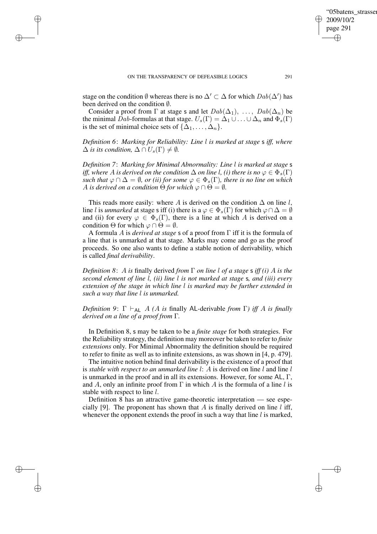✐

✐

✐

stage on the condition  $\emptyset$  whereas there is no  $\Delta' \subset \Delta$  for which  $Dab(\Delta')$  has been derived on the condition ∅.

Consider a proof from  $\Gamma$  at stage s and let  $Dab(\Delta_1), \ldots, Dab(\Delta_n)$  be the minimal Dab-formulas at that stage.  $U_s(\Gamma) = \Delta_1 \cup \ldots \cup \Delta_n$  and  $\Phi_s(\Gamma)$ is the set of minimal choice sets of  $\{\Delta_1, \ldots, \Delta_n\}$ .

*Definition 6*: *Marking for Reliability: Line* l *is marked at stage* s *iff, where*  $\Delta$  *is its condition,*  $\Delta \cap U_s(\Gamma) \neq \emptyset$ *.* 

*Definition 7*: *Marking for Minimal Abnormality: Line* l *is marked at stage* s *iff,* where A is derived on the condition  $\Delta$  on line l, (i) there is no  $\varphi \in \Phi_*(\Gamma)$ *such that*  $\varphi \cap \Delta = \emptyset$ *, or (ii) for some*  $\varphi \in \Phi_s(\Gamma)$ *, there is no line on which A* is derived on a condition  $\Theta$  for which  $\varphi \cap \Theta = \emptyset$ .

This reads more easily: where A is derived on the condition  $\Delta$  on line l, line *l* is *unmarked* at stage s iff (i) there is a  $\varphi \in \Phi_s(\Gamma)$  for which  $\varphi \cap \Delta = \emptyset$ and (ii) for every  $\varphi \in \Phi_s(\Gamma)$ , there is a line at which A is derived on a condition  $\Theta$  for which  $\varphi \cap \Theta = \emptyset$ .

A formula A is *derived at stage* s of a proof from Γ iff it is the formula of a line that is unmarked at that stage. Marks may come and go as the proof proceeds. So one also wants to define a stable notion of derivability, which is called *final derivability*.

*Definition 8*: A *is* finally derived *from* Γ *on line* l *of a stage* s *iff (i)* A *is the second element of line* l*, (ii) line* l *is not marked at stage* s*, and (iii) every extension of the stage in which line* l *is marked may be further extended in such a way that line* l *is unmarked.*

*Definition* 9:  $\Gamma \vdash_{AL} A$  *(A is finally AL-derivable from*  $\Gamma$ *) iff A is finally derived on a line of a proof from* Γ*.*

In Definition 8, s may be taken to be a *finite stage* for both strategies. For the Reliability strategy, the definition may moreover be taken to refer to *finite extensions* only. For Minimal Abnormality the definition should be required to refer to finite as well as to infinite extensions, as was shown in [4, p. 479].

The intuitive notion behind final derivability is the existence of a proof that is *stable with respect to an unmarked line* l: A is derived on line l and line l is unmarked in the proof and in all its extensions. However, for some AL,  $\Gamma$ , and A, only an infinite proof from  $\Gamma$  in which A is the formula of a line l is stable with respect to line l.

Definition 8 has an attractive game-theoretic interpretation — see especially [9]. The proponent has shown that A is finally derived on line l iff, whenever the opponent extends the proof in such a way that line  $l$  is marked,

✐

✐

'05batens\_strasser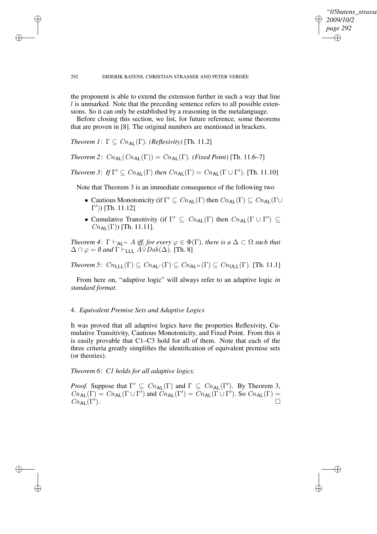### *"05batens\_strasser\_verdee" 2009/10/2 page 292* ✐ ✐

✐

✐

### 292 DIDERIK BATENS, CHRISTIAN STRASSER AND PETER VERDÉE

the proponent is able to extend the extension further in such a way that line l is unmarked. Note that the preceding sentence refers to all possible extensions. So it can only be established by a reasoning in the metalanguage.

Before closing this section, we list, for future reference, some theorems that are proven in [8]. The original numbers are mentioned in brackets.

*Theorem 1*:  $\Gamma \subseteq Cn_{\sf AL}(\Gamma)$ *. (Reflexivity)* [Th. 11.2]

✐

✐

✐

✐

*Theorem* 2:  $C_{n_{\text{AL}}}(C_{n_{\text{AL}}}(T)) = C_{n_{\text{AL}}}(T)$ *. (Fixed Point)* [Th. 11.6–7]

*Theorem* 3: *If*  $\Gamma' \subseteq Cn_{\text{AL}}(\Gamma)$  *then*  $Cn_{\text{AL}}(\Gamma) = Cn_{\text{AL}}(\Gamma \cup \Gamma')$ . [Th. 11.10]

Note that Theorem 3 is an immediate consequence of the following two

- Cautious Monotonicity (if  $\Gamma' \subseteq Cn_{\sf AL}(\Gamma)$  then  $Cn_{\sf AL}(\Gamma) \subseteq Cn_{\sf AL}(\Gamma \cup$  $[Γ')$ ) [Th. 11.12]
- Cumulative Transitivity (if  $\Gamma' \subseteq Cn_{\sf AL}(\Gamma)$  then  $Cn_{\sf AL}(\Gamma \cup \Gamma') \subseteq$  $Cn_{\text{Al}}(\Gamma)$  [Th. 11.11].

*Theorem* 4:  $\Gamma \vdash_{AL^m} A$  *iff, for every*  $\varphi \in \Phi(\Gamma)$ *, there is*  $a \Delta \subset \Omega$  *such that*  $\Delta \cap \varphi = \emptyset$  *and*  $\Gamma \vdash_{\text{LLL}} \tilde{A} \check{\vee} Dab(\Delta)$ . [Th. 8]

*Theorem* 5:  $C_{n_{\text{LLL}}}(\Gamma) \subseteq C_{n_{\text{Alt}}}(\Gamma) \subseteq C_{n_{\text{Alt}}}(\Gamma) \subseteq C_{n_{\text{ULL}}}(\Gamma)$ . [Th. 11.1]

From here on, "adaptive logic" will always refer to an adaptive logic *in standard format*.

# 4. *Equivalent Premise Sets and Adaptive Logics*

It was proved that all adaptive logics have the properties Reflexivity, Cumulative Transitivity, Cautious Monotonicity, and Fixed Point. From this it is easily provable that C1–C3 hold for all of them. Note that each of the three criteria greatly simplifies the identification of equivalent premise sets (or theories).

*Theorem 6*: *C1 holds for all adaptive logics.*

*Proof.* Suppose that  $\Gamma' \subseteq Cn_{AL}(\Gamma)$  and  $\Gamma \subseteq Cn_{AL}(\Gamma')$ . By Theorem 3,  $Cn_{\sf AL}(\Gamma) = Cn_{\sf AL}(\Gamma \cup \Gamma')$  and  $Cn_{\sf AL}(\Gamma') = Cn_{\sf AL}(\Gamma \cup \Gamma')$ . So  $Cn_{\sf AL}(\Gamma) =$  $Cn_{\sf AL}(\Gamma')$ . ).  $\qquad \qquad \Box$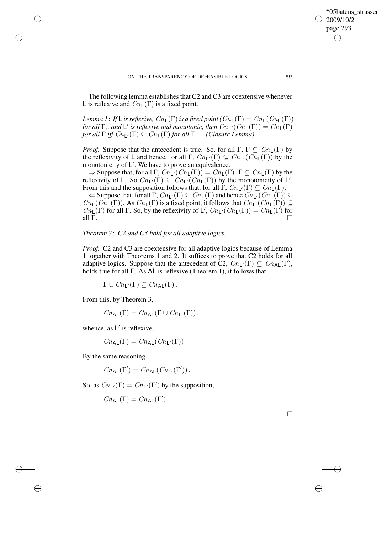The following lemma establishes that C2 and C3 are coextensive whenever L is reflexive and  $Cn_{\mathsf{L}}(\Gamma)$  is a fixed point.

*Lemma* 1: *If* L *is reflexive,*  $Cn_{\mathsf{L}}(\Gamma)$  *is a fixed point*  $(Cn_{\mathsf{L}}(\Gamma) = Cn_{\mathsf{L}}(Cn_{\mathsf{L}}(\Gamma))$ *for all*  $\Gamma$ ), *and*  $\Gamma'$  *is reflexive and monotonic, then*  $Cn_{\Gamma'}(Cn_{\Gamma}(\Gamma)) = Cn_{\Gamma}(\Gamma)$ *for all*  $\Gamma$  *iff*  $Cn_{\mathsf{L}'}(\Gamma) \subseteq Cn_{\mathsf{L}}(\Gamma)$  *for all*  $\Gamma$ *. (Closure Lemma)* 

*Proof.* Suppose that the antecedent is true. So, for all  $\Gamma$ ,  $\Gamma \subseteq Cn_{\mathsf{L}}(\Gamma)$  by the reflexivity of L and hence, for all  $\Gamma$ ,  $Cn_{L}(\Gamma) \subseteq Cn_{L}(Cn_{L}(\Gamma))$  by the monotonicity of L'. We have to prove an equivalence.

 $\Rightarrow$  Suppose that, for all  $\Gamma$ ,  $Cn_{\mathsf{L}}(Cn_{\mathsf{L}}(\Gamma)) = Cn_{\mathsf{L}}(\Gamma)$ .  $\Gamma \subseteq Cn_{\mathsf{L}}(\Gamma)$  by the reflexivity of L. So  $Cn_{L}(\Gamma) \subseteq Cn_{L}(\widehat{Cn_{L}}(\Gamma))$  by the monotonicity of L'. From this and the supposition follows that, for all  $\Gamma$ ,  $Cn_{\mathsf{L}'}(\Gamma) \subseteq Cn_{\mathsf{L}}(\Gamma)$ .

 $\Leftarrow$  Suppose that, for all  $\Gamma$ ,  $Cn_{\mathsf{L}'}(\Gamma) \subseteq Cn_{\mathsf{L}}(\Gamma)$  and hence  $Cn_{\mathsf{L}'}(Cn_{\mathsf{L}}(\Gamma)) \subseteq$  $Cn_{\mathsf{L}}(Cn_{\mathsf{L}}(\Gamma))$ . As  $Cn_{\mathsf{L}}(\Gamma)$  is a fixed point, it follows that  $Cn_{\mathsf{L}}(Cn_{\mathsf{L}}(\Gamma)) \subseteq$  $Cn_{\mathsf{L}}(\Gamma)$  for all  $\Gamma$ . So, by the reflexivity of L',  $Cn_{\mathsf{L}}(Cn_{\mathsf{L}}(\Gamma)) = Cn_{\mathsf{L}}(\Gamma)$  for all  $\Gamma$ .

# *Theorem 7*: *C2 and C3 hold for all adaptive logics.*

*Proof.* C2 and C3 are coextensive for all adaptive logics because of Lemma 1 together with Theorems 1 and 2. It suffices to prove that C2 holds for all adaptive logics. Suppose that the antecedent of C2,  $Cn_{L}(\Gamma) \subseteq Cn_{AL}(\Gamma)$ , holds true for all Γ. As AL is reflexive (Theorem 1), it follows that

 $\Gamma \cup C_{n_1}(\Gamma) \subset C_{n_{\text{Al}}}(\Gamma)$ .

From this, by Theorem 3,

✐

✐

✐

✐

 $Cn_{\mathsf{AL}}(\Gamma) = Cn_{\mathsf{AL}}(\Gamma \cup Cn_{\mathsf{L}'}(\Gamma)),$ 

whence, as  $L'$  is reflexive,

 $Cn_{\mathsf{AL}}(\Gamma) = Cn_{\mathsf{AL}}(Cn_{\mathsf{L}'}(\Gamma)).$ 

By the same reasoning

$$
Cn_{\mathsf{AL}}(\Gamma') = Cn_{\mathsf{AL}}(Cn_{\mathsf{L}'}(\Gamma')).
$$

So, as  $Cn_{\mathsf{L}'}(\Gamma) = Cn_{\mathsf{L}'}(\Gamma')$  by the supposition,

 $Cn_{\mathsf{AL}}(\Gamma) = Cn_{\mathsf{AL}}(\Gamma')$ .

 $\Box$ 

✐

✐

"05batens\_strasser

2009/10/2 page 293

✐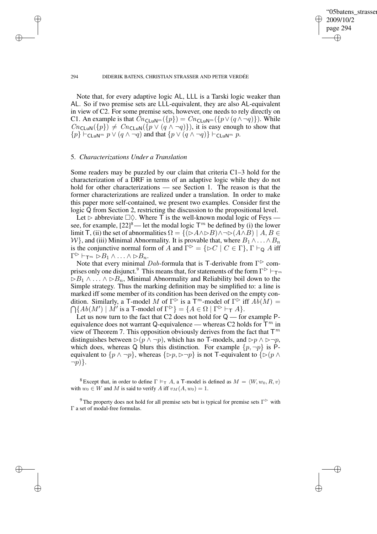✐

#### 294 DIDERIK BATENS, CHRISTIAN STRASSER AND PETER VERDÉE

Note that, for every adaptive logic AL, LLL is a Tarski logic weaker than AL. So if two premise sets are LLL-equivalent, they are also AL-equivalent in view of C2. For some premise sets, however, one needs to rely directly on C1. An example is that  $Cnc_{\text{LuN}^m}({p}) = Cnc_{\text{LuN}^m}({p \vee (q \wedge \neg q)})$ . While  $Cn_{\text{CLuN}}(\{p\}) \neq Cn_{\text{CLuN}}(\{p \lor (q \land \neg q)\})$ , it is easy enough to show that  $\{p\} \vdash_{\mathsf{CLuN}^m} p \vee (q \wedge \neg q)$  and that  $\{p \vee (q \wedge \neg q)\} \vdash_{\mathsf{CLuN}^m} p$ .

### 5. *Characterizations Under a Translation*

✐

✐

✐

✐

Some readers may be puzzled by our claim that criteria C1–3 hold for the characterization of a DRF in terms of an adaptive logic while they do not hold for other characterizations — see Section 1. The reason is that the former characterizations are realized under a translation. In order to make this paper more self-contained, we present two examples. Consider first the logic Q from Section 2, restricting the discussion to the propositional level.

Let  $\triangleright$  abbreviate  $\Box \Diamond$ . Where T is the well-known modal logic of Feys see, for example,  $[22]^8$ — let the modal logic  $\mathsf{T}^m$  be defined by (i) the lower limit T, (ii) the set of abnormalities  $\Omega = \{ (\triangleright A \wedge \triangleright B) \wedge \neg \triangleright (A \wedge B) \mid A, B \in$ W}, and (iii) Minimal Abnormality. It is provable that, where  $B_1 \wedge \ldots \wedge B_n$ is the conjunctive normal form of A and  $\Gamma^{\triangleright} = \{\triangleright C \mid C \in \Gamma\}$ ,  $\Gamma \vdash_{\mathsf{Q}} A$  iff  $\Gamma^{\triangleright}\vdash_{\mathsf{T}^m}\check{\triangleright} B_1\wedge\ldots\wedge\triangleright B_n.$ 

Note that every minimal Dab-formula that is T-derivable from  $\Gamma$  comprises only one disjunct.<sup>9</sup> This means that, for statements of the form  $\Gamma^{\triangleright}\vdash_{\mathsf{T}^m}$  $\triangleright B_1 \wedge \ldots \wedge \triangleright B_n$ , Minimal Abnormality and Reliability boil down to the Simple strategy. Thus the marking definition may be simplified to: a line is marked iff some member of its condition has been derived on the empty condition. Similarly, a T-model M of  $\Gamma^{\triangleright}$  is a T<sup>m</sup>-model of  $\Gamma^{\triangleright}$ ⋂ iff  $A\tilde{b}(M) =$  ${Ab(M') \mid M' \text{ is a T-model of } \Gamma^{\triangleright} } = {A \in \Omega \mid \Gamma^{\triangleright} \vdash_{\mathsf{T}} A}.$ 

Let us now turn to the fact that C2 does not hold for  $Q$  — for example Pequivalence does not warrant Q-equivalence — whereas C2 holds for  $\mathsf{\tilde{T}}^m$  in view of Theorem 7. This opposition obviously derives from the fact that  $\mathsf{T}^m$ distinguishes between  $\triangleright(p \land \neg p)$ , which has no T-models, and  $\triangleright p \land \triangleright \neg p$ , which does, whereas Q blurs this distinction. For example  $\{p, \neg p\}$  is Pequivalent to  $\{p \land \neg p\}$ , whereas  $\{\triangleright p, \triangleright \neg p\}$  is not T-equivalent to  $\{\triangleright (p \land \neg p)\}$  $\neg p$ }.

<sup>8</sup> Except that, in order to define  $\Gamma \models_{\top} A$ , a T-model is defined as  $M = \langle W, w_0, R, v \rangle$ with  $w_0 \in W$  and M is said to verify A iff  $v_M(A, w_0) = 1$ .

<sup>9</sup> The property does not hold for all premise sets but is typical for premise sets  $\Gamma$ <sup> $\triangleright$ </sup> with Γ a set of modal-free formulas.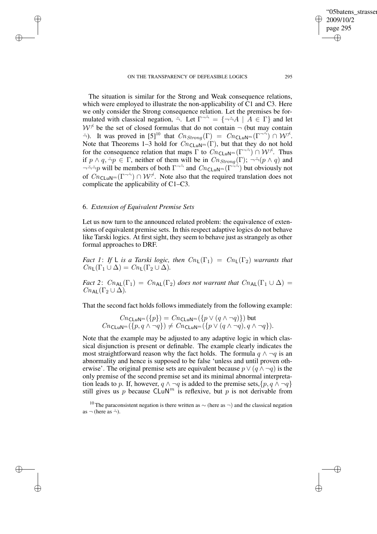The situation is similar for the Strong and Weak consequence relations, which were employed to illustrate the non-applicability of C1 and C3. Here we only consider the Strong consequence relation. Let the premises be formulated with classical negation,  $\tilde{\neg}$ . Let  $\Gamma^{-\tilde{\neg}} = {\neg \tilde{\neg} A \mid A \in \Gamma}$  and let  $W^{\dagger}$  be the set of closed formulas that do not contain  $\neg$  (but may contain  $\check{\neg}$ ). It was proved in [5]<sup>10</sup> that  $\text{Cn}_{Strong}(\Gamma) = \text{Cn}_{\text{CLuN}^m}(\Gamma^{\check{\neg \check{\neg}}}) \cap \mathcal{W}^{\check{\neg}}$ . Note that Theorems 1–3 hold for  $Cn_{\text{CLuN}^m}(\Gamma)$ , but that they do not hold for the consequence relation that maps  $\Gamma$  to  $\widehat{C}n_{\text{CLuN}^m}(\Gamma^{-1}) \cap \mathcal{W}^{\neq}$ . Thus if  $p \wedge q$ ,  $\neg p \in \Gamma$ , neither of them will be in  $Cn_{Strong}(\Gamma)$ ;  $\neg\neg (p \wedge q)$  and

 $\neg \neg \neg \neg p$  will be members of both  $\Gamma \neg \neg$  and  $Cn_{\text{CLuN}^m}(\Gamma \neg \neg)$  but obviously not of  $\overline{C_{n_{\text{CLuN}}}}$  ( $\Gamma^{-1}$ )  $\cap$   $\mathcal{W}^{\neq}$ . Note also that the required translation does not complicate the applicability of C1–C3.

# 6. *Extension of Equivalent Premise Sets*

✐

✐

✐

✐

Let us now turn to the announced related problem: the equivalence of extensions of equivalent premise sets. In this respect adaptive logics do not behave like Tarski logics. At first sight, they seem to behave just as strangely as other formal approaches to DRF.

*Fact* 1: If L *is a Tarski logic, then*  $Cn_{\mathsf{L}}(\Gamma_1) = Cn_{\mathsf{L}}(\Gamma_2)$  *warrants that*  $Cn_{\mathsf{L}}(\Gamma_1 \cup \Delta) = Cn_{\mathsf{L}}(\Gamma_2 \cup \Delta).$ 

*Fact* 2:  $C_{n_{\text{AL}}(\Gamma_1)} = C_{n_{\text{AL}}(\Gamma_2)}$  *does not warrant that*  $C_{n_{\text{AL}}(\Gamma_1 \cup \Delta)} =$  $Cn_{\mathsf{Al}}(\Gamma_2 \cup \Delta)$ .

That the second fact holds follows immediately from the following example:

$$
Cnc_{\text{LuN}^m}(\{p\}) = Cnc_{\text{LuN}^m}(\{p \lor (q \land \neg q)\}) \text{ but }
$$
  

$$
Cnc_{\text{LuN}^m}(\{p, q \land \neg q\}) \neq Cnc_{\text{LuN}^m}(\{p \lor (q \land \neg q), q \land \neg q\}).
$$

Note that the example may be adjusted to any adaptive logic in which classical disjunction is present or definable. The example clearly indicates the most straightforward reason why the fact holds. The formula  $q \wedge \neg q$  is an abnormality and hence is supposed to be false 'unless and until proven otherwise'. The original premise sets are equivalent because  $p \vee (q \wedge \neg q)$  is the only premise of the second premise set and its minimal abnormal interpretation leads to p. If, however,  $q \wedge \neg q$  is added to the premise sets,  $\{p, q \wedge \neg q\}$ still gives us p because  $CLuN<sup>m</sup>$  is reflexive, but p is not derivable from

'05batens\_strasser

2009/10/2 page 295

✐

✐

✐

<sup>&</sup>lt;sup>10</sup> The paraconsistent negation is there written as  $\sim$  (here as  $\neg$ ) and the classical negation as  $\neg$  (here as  $\xi$ ).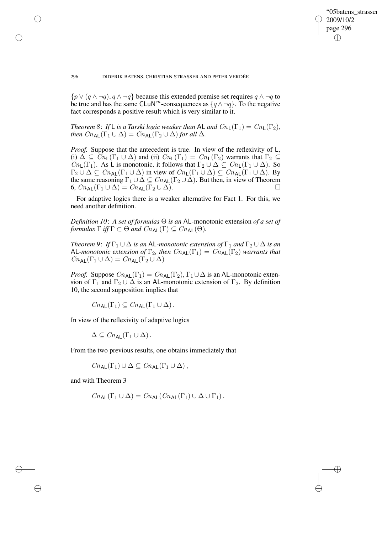✐

#### 296 DIDERIK BATENS, CHRISTIAN STRASSER AND PETER VERDÉE

 ${p \vee (q \wedge \neg q), q \wedge \neg q}$  because this extended premise set requires  $q \wedge \neg q$  to be true and has the same CLuN<sup>m</sup>-consequences as  $\{q \wedge \neg q\}$ . To the negative fact corresponds a positive result which is very similar to it.

*Theorem* 8: *If* L *is a Tarski logic weaker than* AL *and*  $Cn_{\mathsf{L}}(\Gamma_1) = Cn_{\mathsf{L}}(\Gamma_2)$ *, then*  $C_{n_{\mathsf{AL}}}(\Gamma_1 \cup \Delta) = C_{n_{\mathsf{AL}}}(\Gamma_2 \cup \Delta)$  *for all*  $\Delta$ *.* 

*Proof.* Suppose that the antecedent is true. In view of the reflexivity of L, (i)  $\Delta \subseteq Cn_{\mathsf{L}}(\Gamma_1 \cup \Delta)$  and (ii)  $Cn_{\mathsf{L}}(\Gamma_1) = Cn_{\mathsf{L}}(\Gamma_2)$  warrants that  $\Gamma_2 \subseteq$  $Cn_{\mathsf{L}}(\Gamma_1)$ . As L is monotonic, it follows that  $\Gamma_2 \cup \Delta \subseteq Cn_{\mathsf{L}}(\Gamma_1 \cup \Delta)$ . So  $\Gamma_2 \cup \Delta \subseteq Cn_{\mathsf{AL}}(\Gamma_1 \cup \Delta)$  in view of  $Cn_{\mathsf{L}}(\Gamma_1 \cup \Delta) \subseteq Cn_{\mathsf{AL}}(\Gamma_1 \cup \Delta)$ . By the same reasoning  $\Gamma_1 \cup \Delta \subseteq Cn_{AL}(\Gamma_2 \cup \Delta)$ . But then, in view of Theorem 6,  $C_{n_{\mathsf{AL}}}(\Gamma_1 \cup \Delta) = C_{n_{\mathsf{AL}}}(\Gamma_2 \cup \Delta).$ 

For adaptive logics there is a weaker alternative for Fact 1. For this, we need another definition.

*Definition 10*: *A set of formulas* Θ *is an* AL*-*monotonic extension *of a set of formulas*  $\Gamma$  *iff*  $\Gamma \subset \Theta$  *and*  $C_{n_{\text{AL}}}(\Gamma) \subseteq C_{n_{\text{AL}}}(\Theta)$ *.* 

*Theorem* 9: *If*  $\Gamma_1 \cup \Delta$  *is an* AL-monotonic *extension* of  $\Gamma_1$  *and*  $\Gamma_2 \cup \Delta$  *is an* AL-monotonic extension of  $\Gamma_2$ , then  $Cn_{AL}(\Gamma_1) = Cn_{AL}(\Gamma_2)$  warrants that  $Cn_{\sf AL}(\Gamma_1 \cup \Delta) = Cn_{\sf AL}(\Gamma_2 \cup \Delta)$ 

*Proof.* Suppose  $Cn_{AL}(\Gamma_1) = Cn_{AL}(\Gamma_2)$ ,  $\Gamma_1 \cup \Delta$  is an AL-monotonic extension of  $\Gamma_1$  and  $\Gamma_2 \cup \Delta$  is an AL-monotonic extension of  $\Gamma_2$ . By definition 10, the second supposition implies that

 $Cn_{\text{Al}}(\Gamma_1) \subseteq Cn_{\text{Al}}(\Gamma_1 \cup \Delta)$ .

In view of the reflexivity of adaptive logics

 $\Delta \subseteq Cn_{\sf AL}(\Gamma_1 \cup \Delta)$ .

From the two previous results, one obtains immediately that

 $Cn_{\mathbf{A}}(\Gamma_1) \cup \Delta \subseteq Cn_{\mathbf{A}}(\Gamma_1 \cup \Delta),$ 

and with Theorem 3

✐

✐

✐

$$
Cn_{\mathsf{AL}}(\Gamma_1 \cup \Delta) = Cn_{\mathsf{AL}}(Cn_{\mathsf{AL}}(\Gamma_1) \cup \Delta \cup \Gamma_1).
$$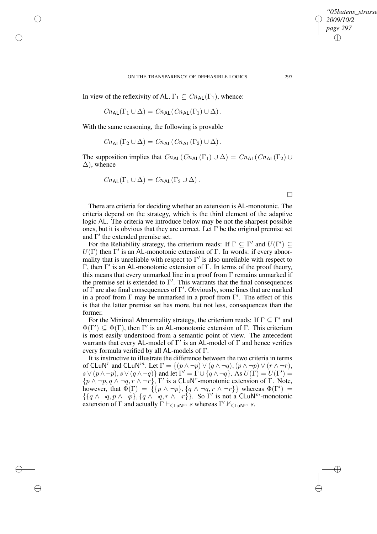✐

In view of the reflexivity of AL,  $\Gamma_1 \subseteq Cn_{AL}(\Gamma_1)$ , whence:

$$
Cn_{\mathsf{AL}}(\Gamma_1 \cup \Delta) = Cn_{\mathsf{AL}}(Cn_{\mathsf{AL}}(\Gamma_1) \cup \Delta).
$$

With the same reasoning, the following is provable

✐

✐

✐

✐

$$
Cn_{\mathsf{AL}}(\Gamma_2 \cup \Delta) = Cn_{\mathsf{AL}}(Cn_{\mathsf{AL}}(\Gamma_2) \cup \Delta).
$$

The supposition implies that  $Cn_{AL}(Cn_{AL}(\Gamma_1) \cup \Delta) = Cn_{AL}(Cn_{AL}(\Gamma_2) \cup$  $\Delta$ ), whence

$$
Cn_{\mathsf{AL}}(\Gamma_1 \cup \Delta) = Cn_{\mathsf{AL}}(\Gamma_2 \cup \Delta).
$$

 $\Box$ 

There are criteria for deciding whether an extension is AL-monotonic. The criteria depend on the strategy, which is the third element of the adaptive logic AL. The criteria we introduce below may be not the sharpest possible ones, but it is obvious that they are correct. Let  $\Gamma$  be the original premise set and  $\Gamma'$  the extended premise set.

For the Reliability strategy, the criterium reads: If  $\Gamma \subseteq \Gamma'$  and  $U(\Gamma') \subseteq$  $U(\Gamma)$  then  $\Gamma'$  is an AL-monotonic extension of  $\Gamma$ . In words: if every abnormality that is unreliable with respect to  $\Gamma'$  is also unreliable with respect to Γ, then  $Γ'$  is an AL-monotonic extension of Γ. In terms of the proof theory, this means that every unmarked line in a proof from  $\Gamma$  remains unmarked if the premise set is extended to  $\Gamma'$ . This warrants that the final consequences of  $\Gamma$  are also final consequences of  $\Gamma'$ . Obviously, some lines that are marked in a proof from  $\Gamma$  may be unmarked in a proof from  $\Gamma'$ . The effect of this is that the latter premise set has more, but not less, consequences than the former.

For the Minimal Abnormality strategy, the criterium reads: If  $\Gamma \subseteq \Gamma'$  and  $\Phi(\Gamma') \subseteq \Phi(\Gamma)$ , then  $\Gamma'$  is an AL-monotonic extension of  $\Gamma$ . This criterium is most easily understood from a semantic point of view. The antecedent warrants that every AL-model of  $\Gamma'$  is an AL-model of  $\Gamma$  and hence verifies every formula verified by all AL-models of Γ.

It is instructive to illustrate the difference between the two criteria in terms of CLuN<sup>r</sup> and CLuN<sup>m</sup>. Let  $\Gamma = \{(p \land \neg p) \lor (q \land \neg q), (p \land \neg p) \lor (r \land \neg r),\}$  $s \vee (p \wedge \neg p), s \vee (q \wedge \neg q)$ } and let  $\overline{\Gamma'} = \overline{\Gamma} \cup \{\overline{q} \wedge \neg q\}$ . As  $U(\overline{\Gamma}) = U(\Gamma') =$  $\{p \wedge \neg p, q \wedge \neg q, r \wedge \neg r\}$ ,  $\Gamma'$  is a CLuN<sup>r</sup>-monotonic extension of  $\Gamma$ . Note, however, that  $\Phi(\Gamma) = {\mathcal{b}(\{p \wedge \neg p\}, \{q \wedge \neg q, r \wedge \neg r\}\}\$  whereas  $\Phi(\Gamma') =$  $\{ \{ q \wedge \neg q, p \wedge \neg p \}, \{ q \wedge \neg q, r \wedge \neg r \} \}.$  So  $\Gamma'$  is not a CLuN<sup>m</sup>-monotonic extension of  $\Gamma$  and actually  $\Gamma \vdash_{\mathsf{CLuN}^m} s$  whereas  $\Gamma' \nvDash_{\mathsf{CLuN}^m} s$ .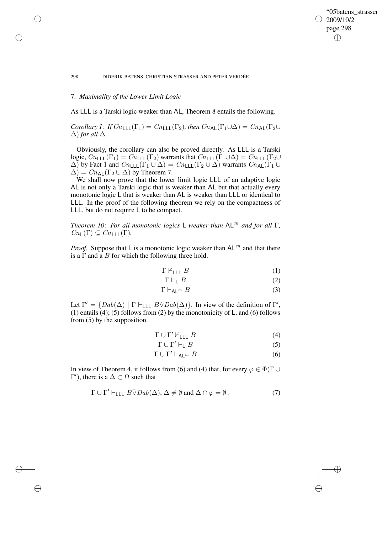### "05batens\_strasser 2009/10/2 page 298 ✐ ✐

✐

✐

#### 298 DIDERIK BATENS, CHRISTIAN STRASSER AND PETER VERDÉE

# 7. *Maximality of the Lower Limit Logic*

✐

✐

✐

✐

As LLL is a Tarski logic weaker than AL, Theorem 8 entails the following.

*Corollary 1*: *If*  $Cn_{\text{LLL}}(\Gamma_1) = Cn_{\text{LLL}}(\Gamma_2)$ *, then*  $Cn_{\text{AL}}(\Gamma_1 \cup \Delta) = Cn_{\text{AL}}(\Gamma_2 \cup \Delta)$  $\Delta$ *) for all*  $\Delta$ *.* 

Obviously, the corollary can also be proved directly. As LLL is a Tarski logic,  $Cn_{\text{LLL}}(\Gamma_1) = Cn_{\text{LLL}}(\Gamma_2)$  warrants that  $Cn_{\text{LLL}}(\Gamma_1 \cup \Delta) = Cn_{\text{LLL}}(\Gamma_2 \cup \Delta)$  $\Delta$ ) by Fact 1 and  $Cn_{\text{LLL}}(\Gamma_1 \cup \Delta) = Cn_{\text{LLL}}(\Gamma_2 \cup \Delta)$  warrants  $Cn_{\text{AL}}(\Gamma_1 \cup \Delta)$  $\Delta$ ) =  $Cn_{AL}(\Gamma_2 \cup \Delta)$  by Theorem 7.

We shall now prove that the lower limit logic LLL of an adaptive logic AL is not only a Tarski logic that is weaker than AL but that actually every monotonic logic L that is weaker than AL is weaker than LLL or identical to LLL. In the proof of the following theorem we rely on the compactness of LLL, but do not require L to be compact.

*Theorem 10*: *For all monotonic logics* L *weaker than* AL<sup>m</sup> *and for all* Γ*,*  $Cn_{\mathsf{L}}(\Gamma) \subseteq Cn_{\mathsf{L}}(\Gamma)$ .

*Proof.* Suppose that L is a monotonic logic weaker than  $AL^m$  and that there is a  $\Gamma$  and a  $B$  for which the following three hold.

$$
\Gamma \nvdash_{\mathsf{LLL}} B \tag{1}
$$

$$
\Gamma \vdash_{\mathsf{L}} B \tag{2}
$$

$$
\Gamma \vdash_{\mathsf{AL}^m} B \tag{3}
$$

Let  $\Gamma' = \{Dab(\Delta) | \Gamma \vdash_{\text{LLL}} B \check{\vee} Dab(\Delta)\}\$ . In view of the definition of  $\Gamma'$ , (1) entails (4); (5) follows from (2) by the monotonicity of L, and (6) follows from (5) by the supposition.

$$
\Gamma \cup \Gamma' \nvdash_{\mathsf{LLL}} B \tag{4}
$$

$$
\Gamma \cup \Gamma' \vdash_{\mathsf{L}} B \tag{5}
$$

$$
\Gamma \cup \Gamma' \vdash_{\mathsf{AL}^m} B \tag{6}
$$

In view of Theorem 4, it follows from (6) and (4) that, for every  $\varphi \in \Phi(\Gamma \cup$  $\Gamma'$ ), there is a  $\Delta \subset \Omega$  such that

$$
\Gamma \cup \Gamma' \vdash_{\mathsf{LLL}} B \check{\vee} Da b(\Delta), \Delta \neq \emptyset \text{ and } \Delta \cap \varphi = \emptyset. \tag{7}
$$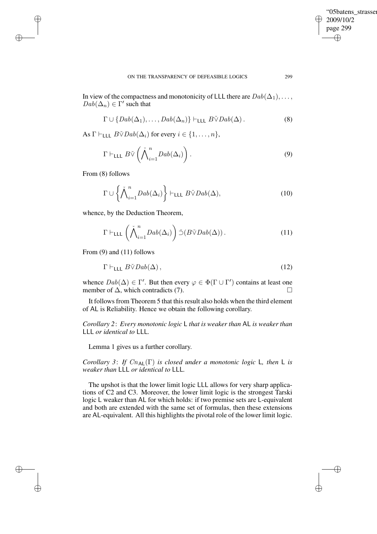"05batens\_strasser 2009/10/2 page 299 ✐ ✐

✐

✐

In view of the compactness and monotonicity of LLL there are  $Dab(\Delta_1), \ldots$ ,  $Dab(\Delta_n) \in \Gamma'$  such that

$$
\Gamma \cup \{Dab(\Delta_1), \ldots, Dab(\Delta_n)\} \vdash_{\mathsf{LLL}} B\check{\vee} Dab(\Delta).
$$
 (8)

As  $\Gamma \vdash_{\mathsf{LLL}} B \check{\vee} Da b(\Delta_i)$  for every  $i \in \{1, \ldots, n\},$ 

$$
\Gamma \vdash_{\mathsf{LLL}} B\check{\vee} \left(\check{\bigwedge}_{i=1}^n Dab(\Delta_i)\right). \tag{9}
$$

From (8) follows

✐

✐

✐

✐

$$
\Gamma \cup \left\{ \bigwedge_{i=1}^{n} Dab(\Delta_{i}) \right\} \vdash_{\mathsf{LLL}} B\check{\vee} Dab(\Delta),\tag{10}
$$

whence, by the Deduction Theorem,

$$
\Gamma \vdash_{\mathsf{LLL}} \left(\check{\bigwedge}_{i=1}^n \mathit{Dab}(\Delta_i)\right) \check{\supset} (\mathit{B\check{\vee}} \mathit{Dab}(\Delta)).\tag{11}
$$

From (9) and (11) follows

$$
\Gamma \vdash_{\mathsf{LLL}} B \check{\vee} Da b(\Delta),\tag{12}
$$

whence  $Dab(\Delta) \in \Gamma'$ . But then every  $\varphi \in \Phi(\Gamma \cup \Gamma')$  contains at least one member of  $\Delta$ , which contradicts (7).  $\Box$ 

It follows from Theorem 5 that this result also holds when the third element of AL is Reliability. Hence we obtain the following corollary.

*Corollary 2*: *Every monotonic logic* L *that is weaker than* AL *is weaker than* LLL *or identical to* LLL*.*

Lemma 1 gives us a further corollary.

*Corollary* 3: *If*  $Cn_{AL}(\Gamma)$  *is closed under a monotonic logic* L, *then* L *is weaker than* LLL *or identical to* LLL*.*

The upshot is that the lower limit logic LLL allows for very sharp applications of C2 and C3. Moreover, the lower limit logic is the strongest Tarski logic L weaker than AL for which holds: if two premise sets are L-equivalent and both are extended with the same set of formulas, then these extensions are AL-equivalent. All this highlights the pivotal role of the lower limit logic.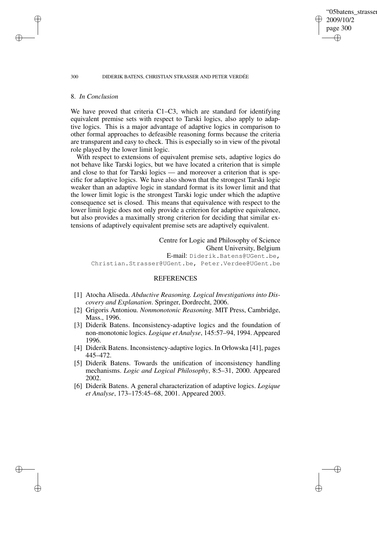#### 300 DIDERIK BATENS, CHRISTIAN STRASSER AND PETER VERDÉE

### 8. *In Conclusion*

We have proved that criteria C1–C3, which are standard for identifying equivalent premise sets with respect to Tarski logics, also apply to adaptive logics. This is a major advantage of adaptive logics in comparison to other formal approaches to defeasible reasoning forms because the criteria are transparent and easy to check. This is especially so in view of the pivotal role played by the lower limit logic.

'05batens\_strasser

2009/10/2 page 300

✐

✐

✐

✐

With respect to extensions of equivalent premise sets, adaptive logics do not behave like Tarski logics, but we have located a criterion that is simple and close to that for Tarski logics — and moreover a criterion that is specific for adaptive logics. We have also shown that the strongest Tarski logic weaker than an adaptive logic in standard format is its lower limit and that the lower limit logic is the strongest Tarski logic under which the adaptive consequence set is closed. This means that equivalence with respect to the lower limit logic does not only provide a criterion for adaptive equivalence, but also provides a maximally strong criterion for deciding that similar extensions of adaptively equivalent premise sets are adaptively equivalent.

Centre for Logic and Philosophy of Science Ghent University, Belgium E-mail: Diderik.Batens@UGent.be, Christian.Strasser@UGent.be, Peter.Verdee@UGent.be

### REFERENCES

- [1] Atocha Aliseda. *Abductive Reasoning. Logical Investigations into Discovery and Explanation*. Springer, Dordrecht, 2006.
- [2] Grigoris Antoniou. *Nonmonotonic Reasoning*. MIT Press, Cambridge, Mass., 1996.
- [3] Diderik Batens. Inconsistency-adaptive logics and the foundation of non-monotonic logics. *Logique et Analyse*, 145:57–94, 1994. Appeared 1996.
- [4] Diderik Batens. Inconsistency-adaptive logics. In Orłowska [41], pages 445–472.
- [5] Diderik Batens. Towards the unification of inconsistency handling mechanisms. *Logic and Logical Philosophy*, 8:5–31, 2000. Appeared 2002.
- [6] Diderik Batens. A general characterization of adaptive logics. *Logique et Analyse*, 173–175:45–68, 2001. Appeared 2003.

✐

✐

✐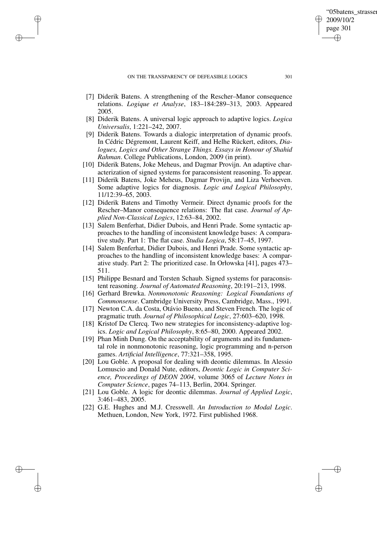✐

✐

✐

- [7] Diderik Batens. A strengthening of the Rescher–Manor consequence relations. *Logique et Analyse*, 183–184:289–313, 2003. Appeared 2005.
- [8] Diderik Batens. A universal logic approach to adaptive logics. *Logica Universalis*, 1:221–242, 2007.
- [9] Diderik Batens. Towards a dialogic interpretation of dynamic proofs. In Cédric Dégremont, Laurent Keiff, and Helhe Rückert, editors, *Dialogues, Logics and Other Strange Things. Essays in Honour of Shahid Rahman*. College Publications, London, 2009 (in print).
- [10] Diderik Batens, Joke Meheus, and Dagmar Provijn. An adaptive characterization of signed systems for paraconsistent reasoning. To appear.
- [11] Diderik Batens, Joke Meheus, Dagmar Provijn, and Liza Verhoeven. Some adaptive logics for diagnosis. *Logic and Logical Philosophy*, 11/12:39–65, 2003.
- [12] Diderik Batens and Timothy Vermeir. Direct dynamic proofs for the Rescher–Manor consequence relations: The flat case. *Journal of Applied Non-Classical Logics*, 12:63–84, 2002.
- [13] Salem Benferhat, Didier Dubois, and Henri Prade. Some syntactic approaches to the handling of inconsistent knowledge bases: A comparative study. Part 1: The flat case. *Studia Logica*, 58:17–45, 1997.
- [14] Salem Benferhat, Didier Dubois, and Henri Prade. Some syntactic approaches to the handling of inconsistent knowledge bases: A comparative study. Part 2: The prioritized case. In Orłowska [41], pages 473– 511.
- [15] Philippe Besnard and Torsten Schaub. Signed systems for paraconsistent reasoning. *Journal of Automated Reasoning*, 20:191–213, 1998.
- [16] Gerhard Brewka. *Nonmonotonic Reasoning: Logical Foundations of Commonsense*. Cambridge University Press, Cambridge, Mass., 1991.
- [17] Newton C.A. da Costa, Otávio Bueno, and Steven French. The logic of pragmatic truth. *Journal of Philosophical Logic*, 27:603–620, 1998.
- [18] Kristof De Clercq. Two new strategies for inconsistency-adaptive logics. *Logic and Logical Philosophy*, 8:65–80, 2000. Appeared 2002.
- [19] Phan Minh Dung. On the acceptability of arguments and its fundamental role in nonmonotonic reasoning, logic programming and n-person games. *Artificial Intelligence*, 77:321–358, 1995.
- [20] Lou Goble. A proposal for dealing with deontic dilemmas. In Alessio Lomuscio and Donald Nute, editors, *Deontic Logic in Computer Science, Proceedings of DEON 2004*, volume 3065 of *Lecture Notes in Computer Science*, pages 74–113, Berlin, 2004. Springer.
- [21] Lou Goble. A logic for deontic dilemmas. *Journal of Applied Logic*, 3:461–483, 2005.
- [22] G.E. Hughes and M.J. Cresswell. *An Introduction to Modal Logic*. Methuen, London, New York, 1972. First published 1968.

'05batens\_strasser

2009/10/2 page 301

✐

✐

✐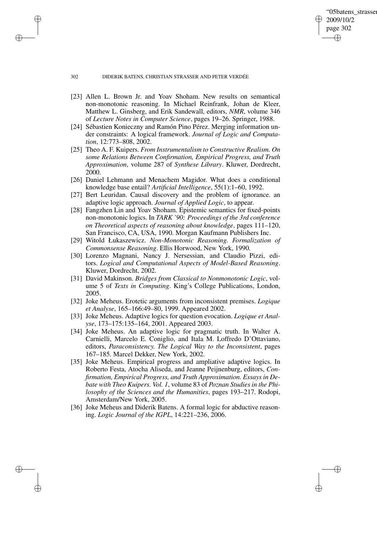#### 302 DIDERIK BATENS, CHRISTIAN STRASSER AND PETER VERDÉE

✐

✐

✐

✐

[23] Allen L. Brown Jr. and Yoav Shoham. New results on semantical non-monotonic reasoning. In Michael Reinfrank, Johan de Kleer, Matthew L. Ginsberg, and Erik Sandewall, editors, *NMR*, volume 346 of *Lecture Notes in Computer Science*, pages 19–26. Springer, 1988.

'05batens\_strasser

2009/10/2 page 302

✐

✐

✐

- [24] Sébastien Konieczny and Ramón Pino Pérez. Merging information under constraints: A logical framework. *Journal of Logic and Computation*, 12:773–808, 2002.
- [25] Theo A. F. Kuipers. *From Instrumentalism to Constructive Realism. On some Relations Between Confirmation, Empirical Progress, and Truth Approximation*, volume 287 of *Synthese Library*. Kluwer, Dordrecht, 2000.
- [26] Daniel Lehmann and Menachem Magidor. What does a conditional knowledge base entail? *Artificial Intelligence*, 55(1):1–60, 1992.
- [27] Bert Leuridan. Causal discovery and the problem of ignorance. an adaptive logic approach. *Journal of Applied Logic*, to appear.
- [28] Fangzhen Lin and Yoav Shoham. Epistemic semantics for fixed-points non-monotonic logics. In *TARK '90: Proceedings of the 3rd conference on Theoretical aspects of reasoning about knowledge*, pages 111–120, San Francisco, CA, USA, 1990. Morgan Kaufmann Publishers Inc.
- [29] Witold Łukaszewicz. *Non-Monotonic Reasoning. Formalization of Commonsense Reasoning*. Ellis Horwood, New York, 1990.
- [30] Lorenzo Magnani, Nancy J. Nersessian, and Claudio Pizzi, editors. *Logical and Computational Aspects of Model-Based Reasoning*. Kluwer, Dordrecht, 2002.
- [31] David Makinson. *Bridges from Classical to Nonmonotonic Logic*, volume 5 of *Texts in Computing*. King's College Publications, London, 2005.
- [32] Joke Meheus. Erotetic arguments from inconsistent premises. *Logique et Analyse*, 165–166:49–80, 1999. Appeared 2002.
- [33] Joke Meheus. Adaptive logics for question evocation. *Logique et Analyse*, 173–175:135–164, 2001. Appeared 2003.
- [34] Joke Meheus. An adaptive logic for pragmatic truth. In Walter A. Carnielli, Marcelo E. Coniglio, and Itala M. Loffredo D'Ottaviano, editors, *Paraconsistency. The Logical Way to the Inconsistent*, pages 167–185. Marcel Dekker, New York, 2002.
- [35] Joke Meheus. Empirical progress and ampliative adaptive logics. In Roberto Festa, Atocha Aliseda, and Jeanne Peijnenburg, editors, *Confirmation, Empirical Progress, and Truth Approximation. Essays in Debate with Theo Kuipers. Vol. 1*, volume 83 of *Poznan Studies in the Philosophy of the Sciences and the Humanities*, pages 193–217. Rodopi, Amsterdam/New York, 2005.
- [36] Joke Meheus and Diderik Batens. A formal logic for abductive reasoning. *Logic Journal of the IGPL*, 14:221–236, 2006.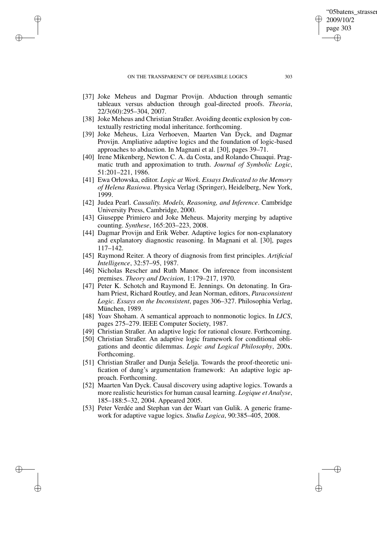### ON THE TRANSPARENCY OF DEFEASIBLE LOGICS 303

✐

✐

✐

✐

- [37] Joke Meheus and Dagmar Provijn. Abduction through semantic tableaux versus abduction through goal-directed proofs. *Theoria*, 22/3(60):295–304, 2007.
- [38] Joke Meheus and Christian Straßer. Avoiding deontic explosion by contextually restricting modal inheritance. forthcoming.
- [39] Joke Meheus, Liza Verhoeven, Maarten Van Dyck, and Dagmar Provijn. Ampliative adaptive logics and the foundation of logic-based approaches to abduction. In Magnani et al. [30], pages 39–71.
- [40] Irene Mikenberg, Newton C. A. da Costa, and Rolando Chuaqui. Pragmatic truth and approximation to truth. *Journal of Symbolic Logic*, 51:201–221, 1986.
- [41] Ewa Orłowska, editor. *Logic at Work. Essays Dedicated to the Memory of Helena Rasiowa*. Physica Verlag (Springer), Heidelberg, New York, 1999.
- [42] Judea Pearl. *Causality. Models, Reasoning, and Inference*. Cambridge University Press, Cambridge, 2000.
- [43] Giuseppe Primiero and Joke Meheus. Majority merging by adaptive counting. *Synthese*, 165:203–223, 2008.
- [44] Dagmar Provijn and Erik Weber. Adaptive logics for non-explanatory and explanatory diagnostic reasoning. In Magnani et al. [30], pages 117–142.
- [45] Raymond Reiter. A theory of diagnosis from first principles. *Artificial Intelligence*, 32:57–95, 1987.
- [46] Nicholas Rescher and Ruth Manor. On inference from inconsistent premises. *Theory and Decision*, 1:179–217, 1970.
- [47] Peter K. Schotch and Raymond E. Jennings. On detonating. In Graham Priest, Richard Routley, and Jean Norman, editors, *Paraconsistent Logic. Essays on the Inconsistent*, pages 306–327. Philosophia Verlag, München, 1989.
- [48] Yoav Shoham. A semantical approach to nonmonotic logics. In *LICS*, pages 275–279. IEEE Computer Society, 1987.
- [49] Christian Straßer. An adaptive logic for rational closure. Forthcoming.
- [50] Christian Straßer. An adaptive logic framework for conditional obligations and deontic dilemmas. *Logic and Logical Philosophy*, 200x. Forthcoming.
- [51] Christian Straßer and Dunja Šešelja. Towards the proof-theoretic unification of dung's argumentation framework: An adaptive logic approach. Forthcoming.
- [52] Maarten Van Dyck. Causal discovery using adaptive logics. Towards a more realistic heuristics for human causal learning. *Logique et Analyse*, 185–188:5–32, 2004. Appeared 2005.
- [53] Peter Verdée and Stephan van der Waart van Gulik. A generic framework for adaptive vague logics. *Studia Logica*, 90:385–405, 2008.

'05batens\_strasser

2009/10/2 page 303

✐

✐

✐